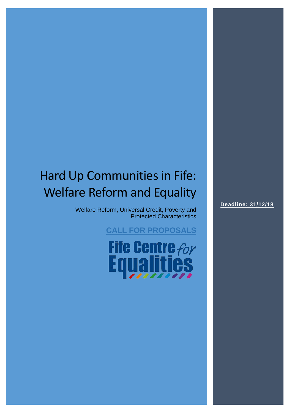## Hard Up Communities in Fife: Welfare Reform and Equality

Welfare Reform, Universal Credit, Poverty and Protected Characteristics

**CALL FOR PROPOSALS**

**Fife Centre for<br>Equalities** 

**Deadline: 31/12/18**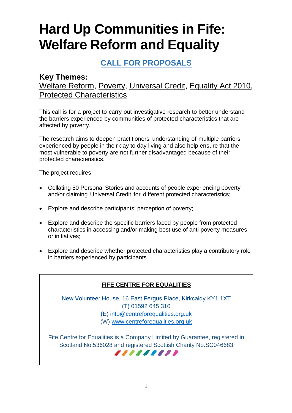# **Hard Up Communities in Fife: Welfare Reform and Equality**

## **CALL FOR PROPOSALS**

### **Key Themes:**

## Welfare Reform, Poverty, Universal Credit, Equality Act 2010, Protected Characteristics

This call is for a project to carry out investigative research to better understand the barriers experienced by communities of protected characteristics that are affected by poverty.

The research aims to deepen practitioners' understanding of multiple barriers experienced by people in their day to day living and also help ensure that the most vulnerable to poverty are not further disadvantaged because of their protected characteristics.

The project requires:

- Collating 50 Personal Stories and accounts of people experiencing poverty and/or claiming Universal Credit for different protected characteristics;
- Explore and describe participants' perception of poverty;
- Explore and describe the specific barriers faced by people from protected characteristics in accessing and/or making best use of anti-poverty measures or initiatives;
- Explore and describe whether protected characteristics play a contributory role in barriers experienced by participants.

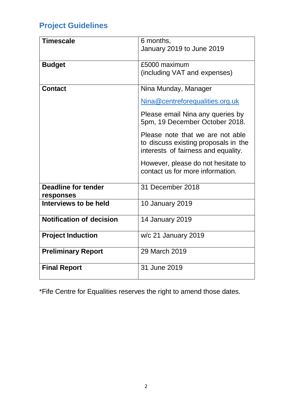## **Project Guidelines**

| <b>Timescale</b>                        | 6 months,<br>January 2019 to June 2019                                                                          |
|-----------------------------------------|-----------------------------------------------------------------------------------------------------------------|
| <b>Budget</b>                           | £5000 maximum<br>(including VAT and expenses)                                                                   |
| <b>Contact</b>                          | Nina Munday, Manager                                                                                            |
|                                         | Nina@centreforequalities.org.uk                                                                                 |
|                                         | Please email Nina any queries by<br>5pm, 19 December October 2018.                                              |
|                                         | Please note that we are not able<br>to discuss existing proposals in the<br>interests of fairness and equality. |
|                                         | However, please do not hesitate to<br>contact us for more information.                                          |
| <b>Deadline for tender</b><br>responses | 31 December 2018                                                                                                |
| Interviews to be held                   | <b>10 January 2019</b>                                                                                          |
| <b>Notification of decision</b>         | <b>14 January 2019</b>                                                                                          |
| <b>Project Induction</b>                | w/c 21 January 2019                                                                                             |
| <b>Preliminary Report</b>               | 29 March 2019                                                                                                   |
| <b>Final Report</b>                     | 31 June 2019                                                                                                    |

\*Fife Centre for Equalities reserves the right to amend those dates.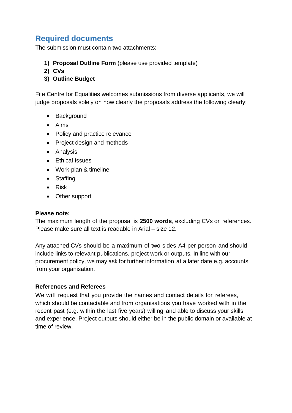## **Required documents**

The submission must contain two attachments:

- **1) Proposal Outline Form** (please use provided template)
- **2) CVs**
- **3) Outline Budget**

Fife Centre for Equalities welcomes submissions from diverse applicants, we will judge proposals solely on how clearly the proposals address the following clearly:

- Background
- Aims
- Policy and practice relevance
- Project design and methods
- Analysis
- Ethical Issues
- Work-plan & timeline
- Staffing
- Risk
- Other support

#### **Please note:**

The maximum length of the proposal is **2500 words**, excluding CVs or references. Please make sure all text is readable in Arial – size 12.

Any attached CVs should be a maximum of two sides A4 per person and should include links to relevant publications, project work or outputs. In line with our procurement policy, we may ask for further information at a later date e.g. accounts from your organisation.

#### **References and Referees**

We will request that you provide the names and contact details for referees, which should be contactable and from organisations you have worked with in the recent past (e.g. within the last five years) willing and able to discuss your skills and experience. Project outputs should either be in the public domain or available at time of review.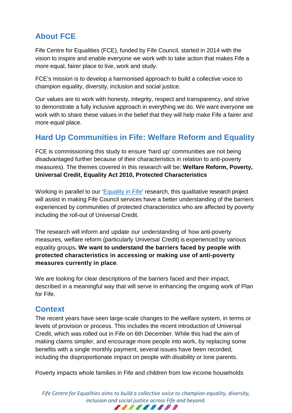## **About FCE**

Fife Centre for Equalities (FCE), funded by Fife Council, started in 2014 with the vision to inspire and enable everyone we work with to take action that makes Fife a more equal, fairer place to live, work and study.

FCE's mission is to develop a harmonised approach to build a collective voice to champion equality, diversity, inclusion and social justice.

Our values are to work with honesty, integrity, respect and transparency, and strive to demonstrate a fully inclusive approach in everything we do. We want everyone we work with to share these values in the belief that they will help make Fife a fairer and more equal place.

## **Hard Up Communities in Fife: Welfare Reform and Equality**

FCE is commissioning this study to ensure 'hard up' communities are not being disadvantaged further because of their characteristics in relation to anti-poverty measures). The themes covered in this research will be: **Welfare Reform, Poverty, Universal Credit, Equality Act 2010, Protected Characteristics**

Working in parallel to our ['Equality in Fife'](https://centreforequalities.org.uk/fife-equality-statistics/) research, this qualitative research project will assist in making Fife Council services have a better understanding of the barriers experienced by communities of protected characteristics who are affected by poverty including the roll-out of Universal Credit.

The research will inform and update our understanding of how anti-poverty measures, welfare reform (particularly Universal Credit) is experienced by various equality groups**. We want to understand the barriers faced by people with protected characteristics in accessing or making use of anti-poverty measures currently in place**.

We are looking for clear descriptions of the barriers faced and their impact, described in a meaningful way that will serve in enhancing the ongoing work of Plan for Fife.

## **Context**

The recent years have seen large-scale changes to the welfare system, in terms or levels of provision or process. This includes the recent introduction of Universal Credit, which was rolled out in Fife on 6th December. While this had the aim of making claims simpler, and encourage more people into work, by replacing some benefits with a single monthly payment, several issues have been recorded, including the disproportionate impact on people with disability or lone parents.

Poverty impacts whole families in Fife and children from low income households

*Fife Centre for Equalities aims to build a collective voice to champion equality, diversity, inclusion and social justice across Fife and beyond.*

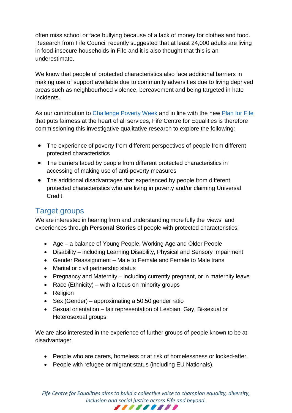often miss school or face bullying because of a lack of money for clothes and food. Research from Fife Council recently suggested that at least 24,000 adults are living in food-insecure households in Fife and it is also thought that this is an underestimate.

We know that people of protected characteristics also face additional barriers in making use of support available due to community adversities due to living deprived areas such as neighbourhood violence, bereavement and being targeted in hate incidents.

As our contribution to [Challenge Poverty Week](https://www.fifedirect.org.uk/news/index.cfm?fuseaction=news.display&objectid=0FBBFD28-D745-88CD-647BD0AC607DF9BC) and in line with the new [Plan for Fife](https://www.fifedirect.org.uk/topics/index.cfm?fuseaction=page.display&p2sid=712B7894-E8DF-EAEC-EEE5BA910CC9D951&themeid=2B892409-722D-4F61-B1CC-7DE81CC06A90) that puts fairness at the heart of all services, Fife Centre for Equalities is therefore commissioning this investigative qualitative research to explore the following:

- The experience of poverty from different perspectives of people from different protected characteristics
- The barriers faced by people from different protected characteristics in accessing of making use of anti-poverty measures
- The additional disadvantages that experienced by people from different protected characteristics who are living in poverty and/or claiming Universal Credit.

## Target groups

We are interested in hearing from and understanding more fully the views and experiences through **Personal Stories** of people with protected characteristics:

- Age a balance of Young People, Working Age and Older People
- Disability including Learning Disability, Physical and Sensory Impairment
- Gender Reassignment Male to Female and Female to Male trans
- Marital or civil partnership status
- Pregnancy and Maternity including currently pregnant, or in maternity leave
- Race (Ethnicity) with a focus on minority groups
- Religion
- Sex (Gender) approximating a 50:50 gender ratio
- Sexual orientation fair representation of Lesbian, Gay, Bi-sexual or Heterosexual groups

We are also interested in the experience of further groups of people known to be at disadvantage:

- People who are carers, homeless or at risk of homelessness or looked-after.
- People with refugee or migrant status (including EU Nationals).

*Fife Centre for Equalities aims to build a collective voice to champion equality, diversity, inclusion and social justice across Fife and beyond.* ,,,,,,,,,